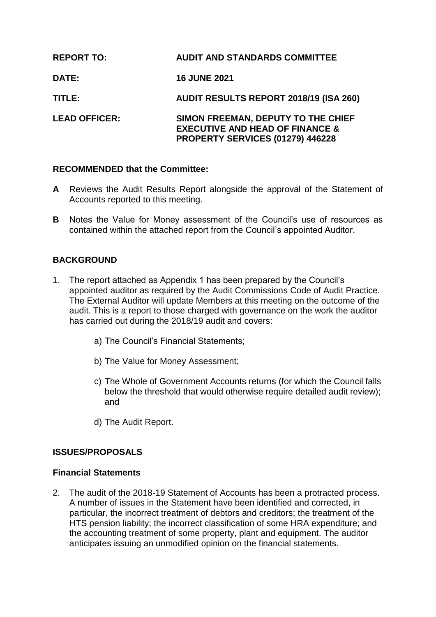| <b>REPORT TO:</b>    | <b>AUDIT AND STANDARDS COMMITTEE</b>                                                                                 |
|----------------------|----------------------------------------------------------------------------------------------------------------------|
| <b>DATE:</b>         | <b>16 JUNE 2021</b>                                                                                                  |
| TITLE:               | <b>AUDIT RESULTS REPORT 2018/19 (ISA 260)</b>                                                                        |
| <b>LEAD OFFICER:</b> | SIMON FREEMAN, DEPUTY TO THE CHIEF<br><b>EXECUTIVE AND HEAD OF FINANCE &amp;</b><br>PROPERTY SERVICES (01279) 446228 |

# **RECOMMENDED that the Committee:**

- **A** Reviews the Audit Results Report alongside the approval of the Statement of Accounts reported to this meeting.
- **B** Notes the Value for Money assessment of the Council's use of resources as contained within the attached report from the Council's appointed Auditor.

# **BACKGROUND**

- 1. The report attached as Appendix 1 has been prepared by the Council's appointed auditor as required by the Audit Commissions Code of Audit Practice. The External Auditor will update Members at this meeting on the outcome of the audit. This is a report to those charged with governance on the work the auditor has carried out during the 2018/19 audit and covers:
	- a) The Council's Financial Statements;
	- b) The Value for Money Assessment;
	- c) The Whole of Government Accounts returns (for which the Council falls below the threshold that would otherwise require detailed audit review); and
	- d) The Audit Report.

# **ISSUES/PROPOSALS**

# **Financial Statements**

2. The audit of the 2018-19 Statement of Accounts has been a protracted process. A number of issues in the Statement have been identified and corrected, in particular, the incorrect treatment of debtors and creditors; the treatment of the HTS pension liability; the incorrect classification of some HRA expenditure; and the accounting treatment of some property, plant and equipment. The auditor anticipates issuing an unmodified opinion on the financial statements.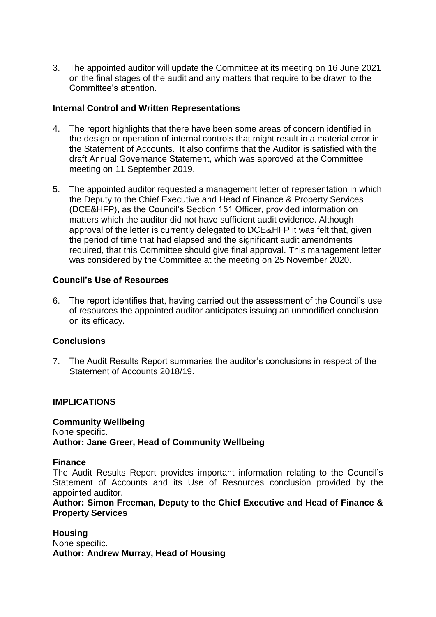3. The appointed auditor will update the Committee at its meeting on 16 June 2021 on the final stages of the audit and any matters that require to be drawn to the Committee's attention.

# **Internal Control and Written Representations**

- 4. The report highlights that there have been some areas of concern identified in the design or operation of internal controls that might result in a material error in the Statement of Accounts. It also confirms that the Auditor is satisfied with the draft Annual Governance Statement, which was approved at the Committee meeting on 11 September 2019.
- 5. The appointed auditor requested a management letter of representation in which the Deputy to the Chief Executive and Head of Finance & Property Services (DCE&HFP), as the Council's Section 151 Officer, provided information on matters which the auditor did not have sufficient audit evidence. Although approval of the letter is currently delegated to DCE&HFP it was felt that, given the period of time that had elapsed and the significant audit amendments required, that this Committee should give final approval. This management letter was considered by the Committee at the meeting on 25 November 2020.

# **Council's Use of Resources**

6. The report identifies that, having carried out the assessment of the Council's use of resources the appointed auditor anticipates issuing an unmodified conclusion on its efficacy.

# **Conclusions**

7. The Audit Results Report summaries the auditor's conclusions in respect of the Statement of Accounts 2018/19.

#### **IMPLICATIONS**

**Community Wellbeing** None specific. **Author: Jane Greer, Head of Community Wellbeing** 

#### **Finance**

The Audit Results Report provides important information relating to the Council's Statement of Accounts and its Use of Resources conclusion provided by the appointed auditor.

**Author: Simon Freeman, Deputy to the Chief Executive and Head of Finance & Property Services**

**Housing** None specific. **Author: Andrew Murray, Head of Housing**